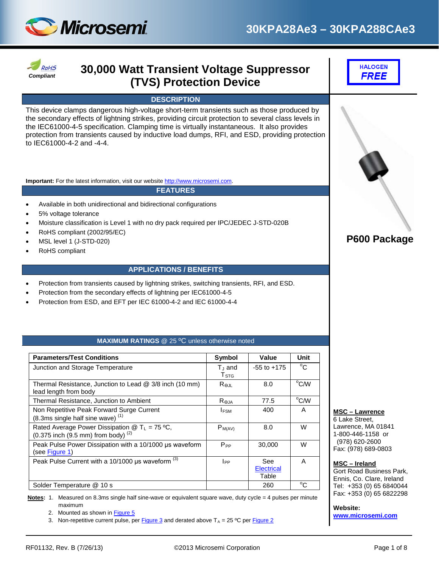



# *Compliant* **30,000 Watt Transient Voltage Suppressor (TVS) Protection Device**

### **DESCRIPTION**

This device clamps dangerous high-voltage short-term transients such as those produced by the secondary effects of lightning strikes, providing circuit protection to several class levels in the IEC61000-4-5 specification. Clamping time is virtually instantaneous. It also provides protection from transients caused by inductive load dumps, RFI, and ESD, providing protection to IEC61000-4-2 and -4-4.

**Important:** For the latest information, visit our website [http://www.microsemi.com.](http://www.microsemi.com/)

#### **FEATURES**

- Available in both unidirectional and bidirectional configurations
- 5% voltage tolerance
- Moisture classification is Level 1 with no dry pack required per IPC/JEDEC J-STD-020B
- RoHS compliant (2002/95/EC)
- MSL level 1 (J-STD-020)
- RoHS compliant

#### **APPLICATIONS / BENEFITS**

- Protection from transients caused by lightning strikes, switching transients, RFI, and ESD.
- Protection from the secondary effects of lightning per IEC61000-4-5
- Protection from ESD, and EFT per IEC 61000-4-2 and IEC 61000-4-4

#### **MAXIMUM RATINGS** @ 25 ºC unless otherwise noted

| <b>Parameters/Test Conditions</b>                                                                                                                      | Symbol                                | Value                             | Unit           |
|--------------------------------------------------------------------------------------------------------------------------------------------------------|---------------------------------------|-----------------------------------|----------------|
| Junction and Storage Temperature                                                                                                                       | $T_{\rm J}$ and<br>$T_{\mathtt{STG}}$ | $-55$ to $+175$                   | $^{\circ}C$    |
| Thermal Resistance, Junction to Lead @ 3/8 inch (10 mm)<br>lead length from body                                                                       | $R_{\theta \text{JL}}$                | 8.0                               | °C/W           |
| Thermal Resistance, Junction to Ambient                                                                                                                | Reja                                  | 77.5                              | $^{\circ}$ C/W |
| Non Repetitive Peak Forward Surge Current<br>$(8.3 \text{ms} \text{ single half sine wave})$ <sup>(1)</sup>                                            | <b>IFSM</b>                           | 400                               | A              |
| Rated Average Power Dissipation $\textcircled{2}$ T <sub>L</sub> = 75 °C,<br>$(0.375 \text{ inch } (9.5 \text{ mm}) \text{ from body})$ <sup>(2)</sup> | $P_{M(AV)}$                           | 8.0                               | W              |
| Peak Pulse Power Dissipation with a 10/1000 µs waveform<br>(see Figure 1)                                                                              | $P_{PP}$                              | 30,000                            | W              |
| Peak Pulse Current with a 10/1000 us waveform <sup>(3)</sup>                                                                                           | $_{\rm lpp}$                          | See<br><b>Electrical</b><br>Table | A              |
| Solder Temperature @ 10 s                                                                                                                              |                                       | 260                               | °C             |

#### **Notes:** 1. Measured on 8.3ms single half sine-wave or equivalent square wave, duty cycle = 4 pulses per minute maximum

2. Mounted as shown i[n Figure 5](#page-6-0)

3. Non-repetitive current pulse, per **Figure 3** and derated above  $T_A = 25 \degree C$  pe[r Figure](#page-3-0) 2

**HALOGEN** *FREE* 



## **P600 Package**

**MSC – Lawrence** 

6 Lake Street, Lawrence, MA 01841 1-800-446-1158 or (978) 620-2600 Fax: (978) 689-0803

#### **MSC – Ireland**

Gort Road Business Park, Ennis, Co. Clare, Ireland Tel: +353 (0) 65 6840044 Fax: +353 (0) 65 6822298

**Website: [www.microsemi.com](http://www.microsemi.com/)**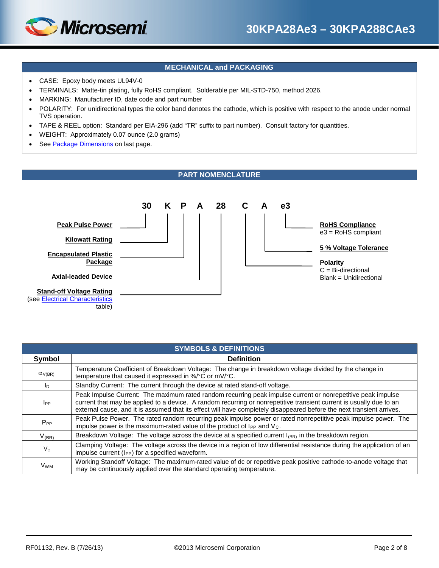![](_page_1_Picture_1.jpeg)

### **MECHANICAL and PACKAGING**

- CASE: Epoxy body meets UL94V-0
- TERMINALS: Matte-tin plating, fully RoHS compliant. Solderable per MIL-STD-750, method 2026.
- MARKING: Manufacturer ID, date code and part number
- POLARITY: For unidirectional types the color band denotes the cathode, which is positive with respect to the anode under normal TVS operation.
- TAPE & REEL option: Standard per EIA-296 (add "TR" suffix to part number). Consult factory for quantities.
- WEIGHT: Approximately 0.07 ounce (2.0 grams)
- See [Package Dimensions](#page-7-0) on last page.

![](_page_1_Figure_10.jpeg)

| <b>SYMBOLS &amp; DEFINITIONS</b> |                                                                                                                                                                                                                                                                                                                                                             |  |  |  |  |  |  |
|----------------------------------|-------------------------------------------------------------------------------------------------------------------------------------------------------------------------------------------------------------------------------------------------------------------------------------------------------------------------------------------------------------|--|--|--|--|--|--|
| Symbol                           | <b>Definition</b>                                                                                                                                                                                                                                                                                                                                           |  |  |  |  |  |  |
| $\alpha$ V(BR)                   | Temperature Coefficient of Breakdown Voltage: The change in breakdown voltage divided by the change in<br>temperature that caused it expressed in %/°C or mV/°C.                                                                                                                                                                                            |  |  |  |  |  |  |
| In.                              | Standby Current: The current through the device at rated stand-off voltage.                                                                                                                                                                                                                                                                                 |  |  |  |  |  |  |
| IPP                              | Peak Impulse Current: The maximum rated random recurring peak impulse current or nonrepetitive peak impulse<br>current that may be applied to a device. A random recurring or nonrepetitive transient current is usually due to an<br>external cause, and it is assumed that its effect will have completely disappeared before the next transient arrives. |  |  |  |  |  |  |
| $P_{PP}$                         | Peak Pulse Power. The rated random recurring peak impulse power or rated nonrepetitive peak impulse power. The<br>impulse power is the maximum-rated value of the product of $I_{PP}$ and $V_C$ .                                                                                                                                                           |  |  |  |  |  |  |
| $V_{(BR)}$                       | Breakdown Voltage: The voltage across the device at a specified current $I_{(BR)}$ in the breakdown region.                                                                                                                                                                                                                                                 |  |  |  |  |  |  |
| $V_{C}$                          | Clamping Voltage: The voltage across the device in a region of low differential resistance during the application of an<br>impulse current (I <sub>PP</sub> ) for a specified waveform.                                                                                                                                                                     |  |  |  |  |  |  |
| <b>V<sub>WM</sub></b>            | Working Standoff Voltage: The maximum-rated value of dc or repetitive peak positive cathode-to-anode voltage that<br>may be continuously applied over the standard operating temperature.                                                                                                                                                                   |  |  |  |  |  |  |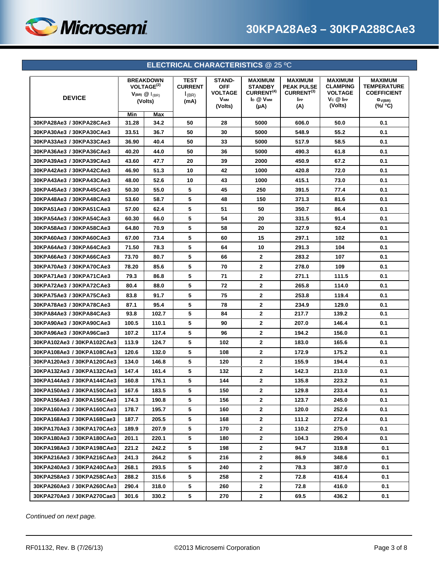![](_page_2_Picture_1.jpeg)

<span id="page-2-0"></span>

|                            |       | <b>BREAKDOWN</b><br><b>VOLTAGE<sup>(2)</sup></b> | <b>TEST</b><br><b>CURRENT</b> | <b>STAND-</b><br>OFF  | <b>MAXIMUM</b><br><b>STANDBY</b> | <b>MAXIMUM</b><br><b>PEAK PULSE</b> | <b>MAXIMUM</b><br><b>CLAMPING</b> | <b>MAXIMUM</b><br><b>TEMPERATURE</b> |
|----------------------------|-------|--------------------------------------------------|-------------------------------|-----------------------|----------------------------------|-------------------------------------|-----------------------------------|--------------------------------------|
|                            |       | $V(BR)$ $@$ $ _{(BR)}$                           | $I_{(BR)}$                    | VOLTAGE               | CURRENT <sup>(4)</sup>           | CURRENT <sup>(3)</sup>              | <b>VOLTAGE</b>                    | <b>COEFFICIENT</b>                   |
| <b>DEVICE</b>              |       | (Volts)                                          | (mA)                          | <b>V<sub>wm</sub></b> | Id @ Vwm                         | <b>IPP</b>                          | $V_c \ @$ Ipp                     | $\alpha_{V(BR)}$                     |
|                            | Min   | Max                                              |                               | (Volts)               | (µA)                             | (A)                                 | (Volts)                           | (%/ °C)                              |
| 30KPA28Ae3 / 30KPA28CAe3   | 31.28 | 34.2                                             | 50                            | 28                    | 5000                             | 606.0                               | 50.0                              | 0.1                                  |
| 30KPA30Ae3 / 30KPA30CAe3   | 33.51 | 36.7                                             | 50                            | 30                    | 5000                             | 548.9                               | 55.2                              | 0.1                                  |
| 30KPA33Ae3 / 30KPA33CAe3   | 36.90 | 40.4                                             | 50                            | 33                    | 5000                             | 517.9                               | 58.5                              | 0.1                                  |
| 30KPA36Ae3 / 30KPA36CAe3   | 40.20 | 44.0                                             | 50                            | 36                    | 5000                             | 490.3                               | 61.8                              | 0.1                                  |
| 30KPA39Ae3 / 30KPA39CAe3   | 43.60 | 47.7                                             | 20                            | 39                    | 2000                             | 450.9                               | 67.2                              | 0.1                                  |
| 30KPA42Ae3 / 30KPA42CAe3   | 46.90 | 51.3                                             | 10                            | 42                    | 1000                             | 420.8                               | 72.0                              | 0.1                                  |
| 30KPA43Ae3 / 30KPA43CAe3   | 48.00 | 52.6                                             | 10                            | 43                    | 1000                             | 415.1                               | 73.0                              | 0.1                                  |
| 30KPA45Ae3 / 30KPA45CAe3   | 50.30 | 55.0                                             | 5                             | 45                    | 250                              | 391.5                               | 77.4                              | 0.1                                  |
| 30KPA48Ae3 / 30KPA48CAe3   | 53.60 | 58.7                                             | 5                             | 48                    | 150                              | 371.3                               | 81.6                              | 0.1                                  |
| 30KPA51Ae3 / 30KPA51CAe3   | 57.00 | 62.4                                             | 5                             | 51                    | 50                               | 350.7                               | 86.4                              | 0.1                                  |
| 30KPA54Ae3 / 30KPA54CAe3   | 60.30 | 66.0                                             | 5                             | 54                    | 20                               | 331.5                               | 91.4                              | 0.1                                  |
| 30KPA58Ae3 / 30KPA58CAe3   | 64.80 | 70.9                                             | 5                             | 58                    | 20                               | 327.9                               | 92.4                              | 0.1                                  |
| 30KPA60Ae3 / 30KPA60CAe3   | 67.00 | 73.4                                             | 5                             | 60                    | 15                               | 297.1                               | 102                               | 0.1                                  |
| 30KPA64Ae3 / 30KPA64CAe3   | 71.50 | 78.3                                             | 5                             | 64                    | 10                               | 291.3                               | 104                               | 0.1                                  |
| 30KPA66Ae3 / 30KPA66CAe3   | 73.70 | 80.7                                             | 5                             | 66                    | $\mathbf{2}$                     | 283.2                               | 107                               | 0.1                                  |
| 30KPA70Ae3 / 30KPA70CAe3   | 78.20 | 85.6                                             | 5                             | 70                    | $\mathbf{2}$                     | 278.0                               | 109                               | 0.1                                  |
| 30KPA71Ae3 / 30KPA71CAe3   | 79.3  | 86.8                                             | 5                             | 71                    | 2                                | 271.1                               | 111.5                             | 0.1                                  |
| 30KPA72Ae3 / 30KPA72CAe3   | 80.4  | 88.0                                             | 5                             | 72                    | $\mathbf{2}$                     | 265.8                               | 114.0                             | 0.1                                  |
| 30KPA75Ae3 / 30KPA75CAe3   | 83.8  | 91.7                                             | 5                             | 75                    | 2                                | 253.8                               | 119.4                             | 0.1                                  |
| 30KPA78Ae3 / 30KPA78CAe3   | 87.1  | 95.4                                             | 5                             | 78                    | $\mathbf{2}$                     | 234.9                               | 129.0                             | 0.1                                  |
| 30KPA84Ae3 / 30KPA84CAe3   | 93.8  | 102.7                                            | 5                             | 84                    | 2                                | 217.7                               | 139.2                             | 0.1                                  |
| 30KPA90Ae3 / 30KPA90CAe3   | 100.5 | 110.1                                            | 5                             | 90                    | $\mathbf{2}$                     | 207.0                               | 146.4                             | 0.1                                  |
| 30KPA96Ae3 / 30KPA96Cae3   | 107.2 | 117.4                                            | 5                             | 96                    | $\mathbf{2}$                     | 194.2                               | 156.0                             | 0.1                                  |
| 30KPA102Ae3 / 30KPA102CAe3 | 113.9 | 124.7                                            | 5                             | 102                   | 2                                | 183.0                               | 165.6                             | 0.1                                  |
| 30KPA108Ae3 / 30KPA108CAe3 | 120.6 | 132.0                                            | 5                             | 108                   | $\mathbf{2}$                     | 172.9                               | 175.2                             | 0.1                                  |
| 30KPA120Ae3 / 30KPA120CAe3 | 134.0 | 146.8                                            | 5                             | 120                   | 2                                | 155.9                               | 194.4                             | 0.1                                  |
| 30KPA132Ae3 / 30KPA132CAe3 | 147.4 | 161.4                                            | 5                             | 132                   | $\mathbf{2}$                     | 142.3                               | 213.0                             | 0.1                                  |
| 30KPA144Ae3 / 30KPA144CAe3 | 160.8 | 176.1                                            | 5                             | 144                   | 2                                | 135.8                               | 223.2                             | 0.1                                  |
| 30KPA150Ae3 / 30KPA150CAe3 | 167.6 | 183.5                                            | 5                             | 150                   | $\mathbf{2}$                     | 129.8                               | 233.4                             | 0.1                                  |
| 30KPA156Ae3 / 30KPA156CAe3 | 174.3 | 190.8                                            | 5                             | 156                   | 2                                | 123.7                               | 245.0                             | 0.1                                  |
| 30KPA160Ae3 / 30KPA160CAe3 | 178.7 | 195.7                                            | 5                             | 160                   | 2                                | 120.0                               | 252.6                             | 0.1                                  |
| 30KPA168Ae3 / 30KPA168Cae3 | 187.7 | 205.5                                            | 5                             | 168                   | $\mathbf{2}$                     | 111.2                               | 272.4                             | 0.1                                  |
| 30KPA170Ae3 / 30KPA170CAe3 | 189.9 | 207.9                                            | 5                             | 170                   | 2                                | 110.2                               | 275.0                             | 0.1                                  |
| 30KPA180Ae3 / 30KPA180CAe3 | 201.1 | 220.1                                            | 5                             | 180                   | 2                                | 104.3                               | 290.4                             | 0.1                                  |
| 30KPA198Ae3 / 30KPA198CAe3 | 221.2 | 242.2                                            | 5                             | 198                   | $\mathbf{2}$                     | 94.7                                | 319.8                             | 0.1                                  |
| 30KPA216Ae3 / 30KPA216CAe3 | 241.3 | 264.2                                            | 5                             | 216                   | 2                                | 86.9                                | 348.6                             | 0.1                                  |
| 30KPA240Ae3 / 30KPA240CAe3 | 268.1 | 293.5                                            | 5                             | 240                   | 2                                | 78.3                                | 387.0                             | 0.1                                  |
| 30KPA258Ae3 / 30KPA258CAe3 | 288.2 | 315.6                                            | 5                             | 258                   | 2                                | 72.8                                | 416.4                             | 0.1                                  |
| 30KPA260Ae3 / 30KPA260CAe3 | 290.4 | 318.0                                            | 5                             | 260                   | 2                                | 72.8                                | 416.0                             | 0.1                                  |
| 30KPA270Ae3 / 30KPA270Cae3 | 301.6 | 330.2                                            | 5                             | 270                   | $\mathbf{2}$                     | 69.5                                | 436.2                             | 0.1                                  |

#### **ELECTRICAL CHARACTERISTICS** @ 25 ºC

*Continued on next page.*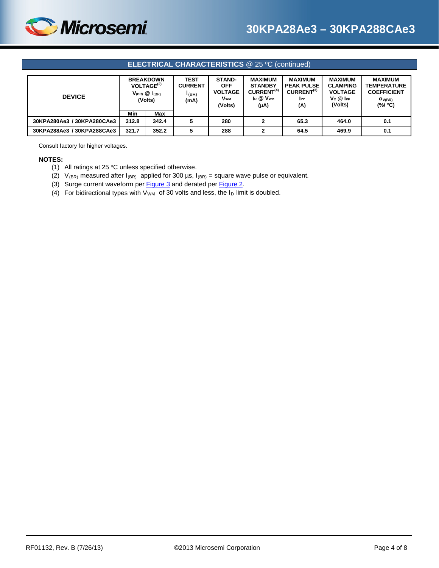![](_page_3_Picture_1.jpeg)

#### **ELECTRICAL CHARACTERISTICS** @ 25 ºC (continued)

| <b>DEVICE</b>              | <b>BREAKDOWN</b><br>VOLTAGE <sup>(2)</sup><br>$V_{(BR)}$ $\circledR$ $I_{(BR)}$<br>(Volts) |       | <b>TEST</b><br><b>CURRENT</b><br>I(BR)<br>(mA) | <b>STAND-</b><br>OFF<br><b>VOLTAGE</b><br>Vwm<br>(Volts) | <b>MAXIMUM</b><br><b>STANDBY</b><br>CURRENT <sup>(4)</sup><br>$I_{D}$ $Q$ $V_{WM}$<br>(µA) | <b>MAXIMUM</b><br><b>PEAK PULSE</b><br>$CURRENT^{(3)}$<br><b>IPP</b><br>(A) | <b>MAXIMUM</b><br><b>CLAMPING</b><br><b>VOLTAGE</b><br>$V_c \ @$ IPP<br>(Volts) | <b>MAXIMUM</b><br><b>TEMPERATURE</b><br><b>COEFFICIENT</b><br>$\alpha_{V(BR)}$<br>$(\%')^{\circ}C)$ |
|----------------------------|--------------------------------------------------------------------------------------------|-------|------------------------------------------------|----------------------------------------------------------|--------------------------------------------------------------------------------------------|-----------------------------------------------------------------------------|---------------------------------------------------------------------------------|-----------------------------------------------------------------------------------------------------|
|                            | Min                                                                                        | Max   |                                                |                                                          |                                                                                            |                                                                             |                                                                                 |                                                                                                     |
| 30KPA280Ae3 / 30KPA280CAe3 | 312.8                                                                                      | 342.4 |                                                | 280                                                      |                                                                                            | 65.3                                                                        | 464.0                                                                           | 0.1                                                                                                 |
| 30KPA288Ae3 / 30KPA288CAe3 | 321.7                                                                                      | 352.2 | 5                                              | 288                                                      |                                                                                            | 64.5                                                                        | 469.9                                                                           | 0.1                                                                                                 |

Consult factory for higher voltages.

#### <span id="page-3-0"></span>**NOTES:**

- (1) All ratings at 25 ºC unless specified otherwise.
- (2)  $V_{(BR)}$  measured after  $I_{(BR)}$  applied for 300 µs,  $I_{(BR)}$  = square wave pulse or equivalent.
- (3) Surge current waveform per **Figure 3** and derated per **Figure 2**.
- (4) For bidirectional types with  $V_{WM}$  of 30 volts and less, the  $I_D$  limit is doubled.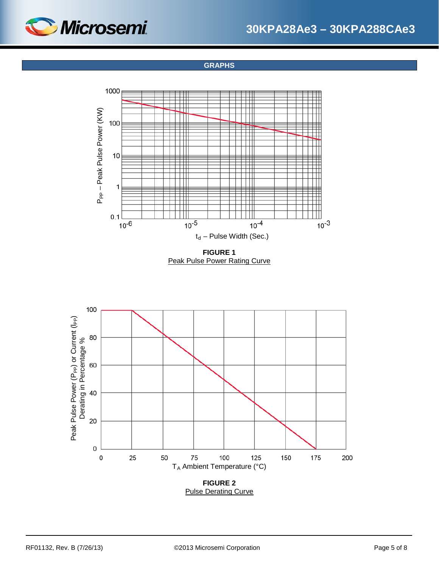![](_page_4_Picture_1.jpeg)

**GRAPHS**

![](_page_4_Figure_3.jpeg)

Peak Pulse Power Rating Curve

![](_page_4_Figure_5.jpeg)

Pulse Derating Curve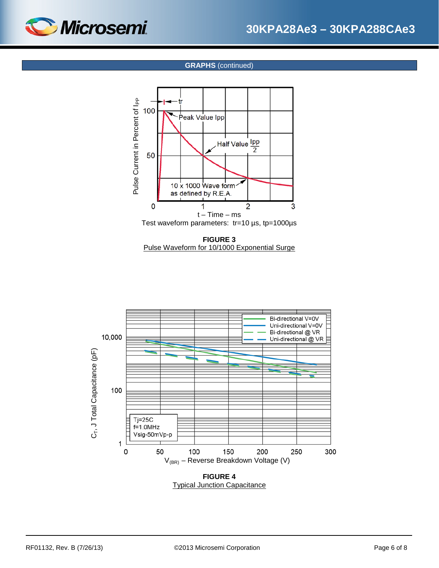![](_page_5_Picture_1.jpeg)

### **GRAPHS** (continued)

![](_page_5_Figure_3.jpeg)

**FIGURE 3** Pulse Waveform for 10/1000 Exponential Surge

<span id="page-5-0"></span>![](_page_5_Figure_5.jpeg)

![](_page_5_Figure_6.jpeg)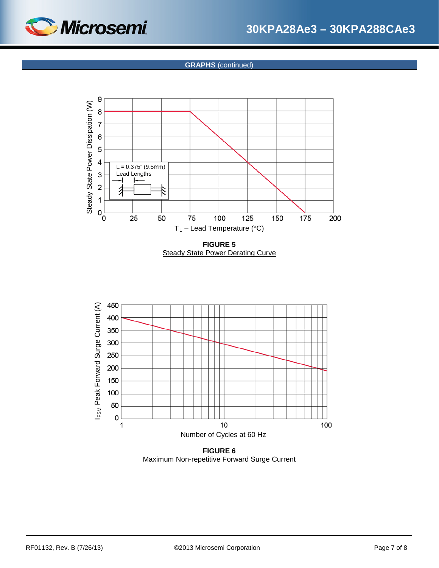![](_page_6_Picture_1.jpeg)

**GRAPHS** (continued)

![](_page_6_Figure_3.jpeg)

**FIGURE 5 Steady State Power Derating Curve** 

<span id="page-6-0"></span>![](_page_6_Figure_5.jpeg)

Maximum Non-repetitive Forward Surge Current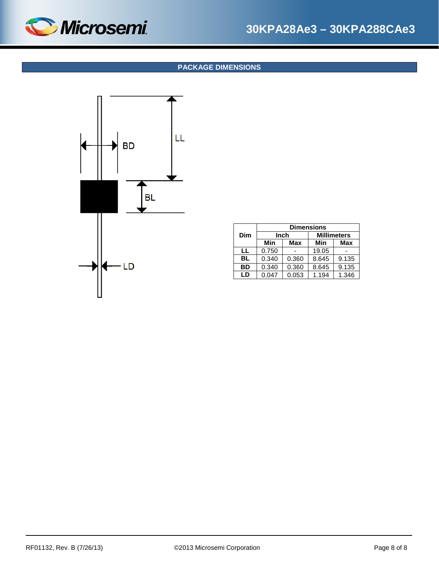<span id="page-7-0"></span>![](_page_7_Picture_0.jpeg)

# **30KPA28Ae3 – 30KPA288CAe3**

### **PACKAGE DIMENSIONS**

![](_page_7_Figure_3.jpeg)

|     | <b>Dimensions</b> |       |                    |       |  |  |  |  |  |
|-----|-------------------|-------|--------------------|-------|--|--|--|--|--|
| Dim | Inch              |       | <b>Millimeters</b> |       |  |  |  |  |  |
|     | Min<br>Max        |       | Min                | Max   |  |  |  |  |  |
| LL  | 0.750             |       | 19.05              |       |  |  |  |  |  |
| BL  | 0.340             | 0.360 | 8.645              | 9.135 |  |  |  |  |  |
| BD  | 0.340             | 0.360 | 8.645              | 9.135 |  |  |  |  |  |
| LD  | 0.047             | 0.053 | 1.194              | 1.346 |  |  |  |  |  |